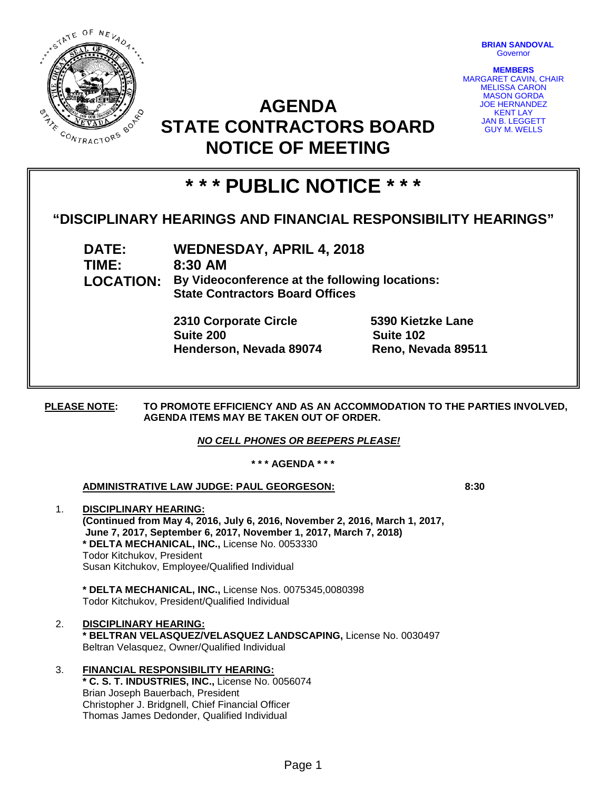

**BRIAN SANDOVAL** Governor

**MEMBERS** MARGARET CAVIN, CHAIR MELISSA CARON MASON GORDA JOE HERNANDEZ KENT LAY JAN B. LEGGETT GUY M. WELLS

## **AGENDA STATE CONTRACTORS BOARD NOTICE OF MEETING**

# **\* \* \* PUBLIC NOTICE \* \* \***

### **"DISCIPLINARY HEARINGS AND FINANCIAL RESPONSIBILITY HEARINGS"**

**DATE: WEDNESDAY, APRIL 4, 2018 TIME: 8:30 AM LOCATION: By Videoconference at the following locations: State Contractors Board Offices**

> **2310 Corporate Circle 5390 Kietzke Lane Suite 200 Suite 102 Henderson, Nevada 89074 Reno, Nevada 89511**

**PLEASE NOTE: TO PROMOTE EFFICIENCY AND AS AN ACCOMMODATION TO THE PARTIES INVOLVED, AGENDA ITEMS MAY BE TAKEN OUT OF ORDER.**

*NO CELL PHONES OR BEEPERS PLEASE!* 

**\* \* \* AGENDA \* \* \***

#### **ADMINISTRATIVE LAW JUDGE: PAUL GEORGESON: 8:30**

1. **DISCIPLINARY HEARING: (Continued from May 4, 2016, July 6, 2016, November 2, 2016, March 1, 2017, June 7, 2017, September 6, 2017, November 1, 2017, March 7, 2018) \* DELTA MECHANICAL, INC.,** License No. 0053330 Todor Kitchukov, President Susan Kitchukov, Employee/Qualified Individual

**\* DELTA MECHANICAL, INC.,** License Nos. 0075345,0080398 Todor Kitchukov, President/Qualified Individual

- 2. **DISCIPLINARY HEARING: \* BELTRAN VELASQUEZ/VELASQUEZ LANDSCAPING,** License No. 0030497 Beltran Velasquez, Owner/Qualified Individual
- 3. **FINANCIAL RESPONSIBILITY HEARING: \* C. S. T. INDUSTRIES, INC.,** License No. 0056074 Brian Joseph Bauerbach, President Christopher J. Bridgnell, Chief Financial Officer Thomas James Dedonder, Qualified Individual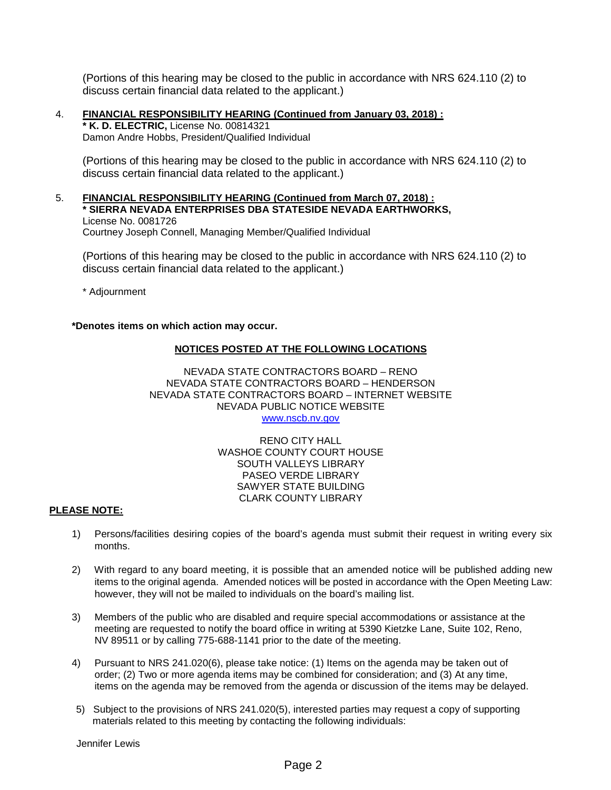(Portions of this hearing may be closed to the public in accordance with NRS 624.110 (2) to discuss certain financial data related to the applicant.)

4. **FINANCIAL RESPONSIBILITY HEARING (Continued from January 03, 2018) : \* K. D. ELECTRIC,** License No. 00814321 Damon Andre Hobbs, President/Qualified Individual

(Portions of this hearing may be closed to the public in accordance with NRS 624.110 (2) to discuss certain financial data related to the applicant.)

5. **FINANCIAL RESPONSIBILITY HEARING (Continued from March 07, 2018) : \* SIERRA NEVADA ENTERPRISES DBA STATESIDE NEVADA EARTHWORKS,**  License No. 0081726 Courtney Joseph Connell, Managing Member/Qualified Individual

(Portions of this hearing may be closed to the public in accordance with NRS 624.110 (2) to discuss certain financial data related to the applicant.)

\* Adjournment

#### **\*Denotes items on which action may occur.**

#### **NOTICES POSTED AT THE FOLLOWING LOCATIONS**

NEVADA STATE CONTRACTORS BOARD – RENO NEVADA STATE CONTRACTORS BOARD – HENDERSON NEVADA STATE CONTRACTORS BOARD – INTERNET WEBSITE NEVADA PUBLIC NOTICE WEBSITE [www.nscb.nv.gov](http://www.nscb.state.nv.us/)

> RENO CITY HALL WASHOE COUNTY COURT HOUSE SOUTH VALLEYS LIBRARY PASEO VERDE LIBRARY SAWYER STATE BUILDING CLARK COUNTY LIBRARY

#### **PLEASE NOTE:**

- 1) Persons/facilities desiring copies of the board's agenda must submit their request in writing every six months.
- 2) With regard to any board meeting, it is possible that an amended notice will be published adding new items to the original agenda. Amended notices will be posted in accordance with the Open Meeting Law: however, they will not be mailed to individuals on the board's mailing list.
- 3) Members of the public who are disabled and require special accommodations or assistance at the meeting are requested to notify the board office in writing at 5390 Kietzke Lane, Suite 102, Reno, NV 89511 or by calling 775-688-1141 prior to the date of the meeting.
- 4) Pursuant to NRS 241.020(6), please take notice: (1) Items on the agenda may be taken out of order; (2) Two or more agenda items may be combined for consideration; and (3) At any time, items on the agenda may be removed from the agenda or discussion of the items may be delayed.
- 5) Subject to the provisions of NRS 241.020(5), interested parties may request a copy of supporting materials related to this meeting by contacting the following individuals: